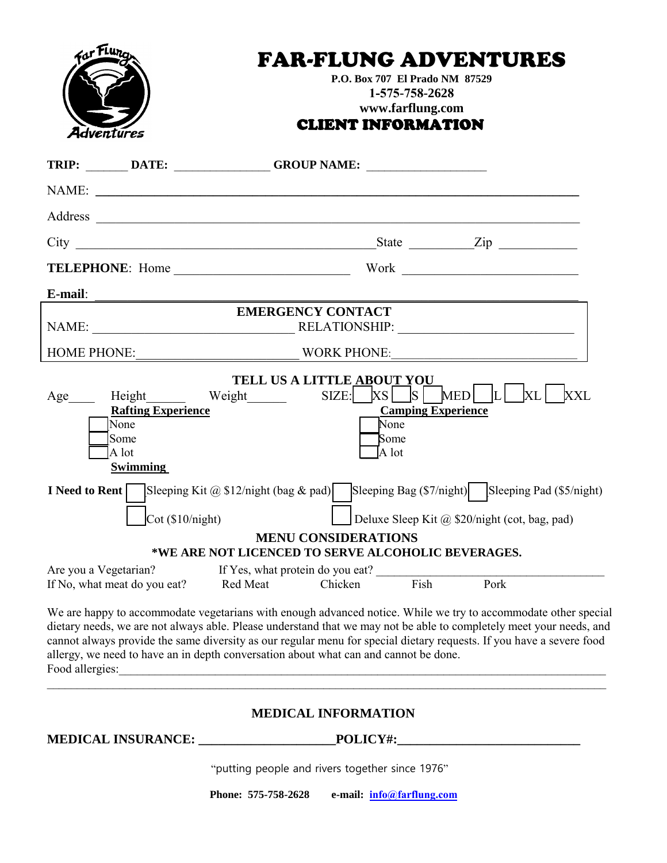| For Flure             |                                                                       |                                                                                      | P.O. Box 707 El Prado NM 87529<br>1-575-758-2628<br>www.farflung.com | <b>FAR-FLUNG ADVENTURES</b>                                                                                                                                                                                                                                                                                                                                   |  |
|-----------------------|-----------------------------------------------------------------------|--------------------------------------------------------------------------------------|----------------------------------------------------------------------|---------------------------------------------------------------------------------------------------------------------------------------------------------------------------------------------------------------------------------------------------------------------------------------------------------------------------------------------------------------|--|
| Adventūres            |                                                                       |                                                                                      | <b>CLIENT INFORMATION</b>                                            |                                                                                                                                                                                                                                                                                                                                                               |  |
|                       |                                                                       | TRIP: _______ DATE: ________________GROUP NAME: _________________________________    |                                                                      |                                                                                                                                                                                                                                                                                                                                                               |  |
|                       |                                                                       | NAME:                                                                                |                                                                      |                                                                                                                                                                                                                                                                                                                                                               |  |
|                       |                                                                       |                                                                                      |                                                                      |                                                                                                                                                                                                                                                                                                                                                               |  |
|                       |                                                                       |                                                                                      |                                                                      |                                                                                                                                                                                                                                                                                                                                                               |  |
|                       |                                                                       |                                                                                      |                                                                      |                                                                                                                                                                                                                                                                                                                                                               |  |
| E-mail:               |                                                                       |                                                                                      |                                                                      |                                                                                                                                                                                                                                                                                                                                                               |  |
|                       |                                                                       | <b>EMERGENCY CONTACT</b>                                                             |                                                                      | NAME: NAME: NAME: NAME: NAME: NAME: NAME: NAME: NAME: NAME: NAME: NAME: NAME: NAME: NAME: NAME: NAME: NAME: NAME: NAME: NAME: NAME: NAME: NAME: NAME: NAME: NAME: NAME: NAME: NAME: NAME: NAME: NAME: NAME: NAME: NAME: NAME:                                                                                                                                 |  |
|                       |                                                                       |                                                                                      |                                                                      |                                                                                                                                                                                                                                                                                                                                                               |  |
| I Need to Rent        | <b>Rafting Experience</b><br>None<br>Some<br>A lot<br><b>Swimming</b> | Sleeping Kit $\omega$ \$12/night (bag & pad)                                         | TELL US A LITTLE ABOUT YOU<br>None<br><b>Some</b><br>A lot           | Age___ Height_____ Weight______ SIZE:__XS__S MED L XL XXL<br><b>Camping Experience</b><br>Sleeping Bag (\$7/night) [Sleeping Pad (\$5/night)                                                                                                                                                                                                                  |  |
|                       | $\cot( \$10/night)$                                                   |                                                                                      |                                                                      | Deluxe Sleep Kit @ $$20/night$ (cot, bag, pad)                                                                                                                                                                                                                                                                                                                |  |
|                       |                                                                       |                                                                                      | <b>MENU CONSIDERATIONS</b>                                           |                                                                                                                                                                                                                                                                                                                                                               |  |
| Are you a Vegetarian? |                                                                       | *WE ARE NOT LICENCED TO SERVE ALCOHOLIC BEVERAGES.                                   |                                                                      |                                                                                                                                                                                                                                                                                                                                                               |  |
|                       | If No, what meat do you eat?                                          |                                                                                      |                                                                      | If Yes, what protein do you eat?<br>Chicken Fish Pork                                                                                                                                                                                                                                                                                                         |  |
|                       |                                                                       | allergy, we need to have an in depth conversation about what can and cannot be done. |                                                                      | We are happy to accommodate vegetarians with enough advanced notice. While we try to accommodate other special<br>dietary needs, we are not always able. Please understand that we may not be able to completely meet your needs, and<br>cannot always provide the same diversity as our regular menu for special dietary requests. If you have a severe food |  |
|                       |                                                                       |                                                                                      | <b>MEDICAL INFORMATION</b>                                           |                                                                                                                                                                                                                                                                                                                                                               |  |
|                       |                                                                       |                                                                                      |                                                                      |                                                                                                                                                                                                                                                                                                                                                               |  |
|                       |                                                                       |                                                                                      | "putting people and rivers together since 1976"                      |                                                                                                                                                                                                                                                                                                                                                               |  |
|                       |                                                                       | Phone: 575-758-2628                                                                  | e-mail: info@farflung.com                                            |                                                                                                                                                                                                                                                                                                                                                               |  |